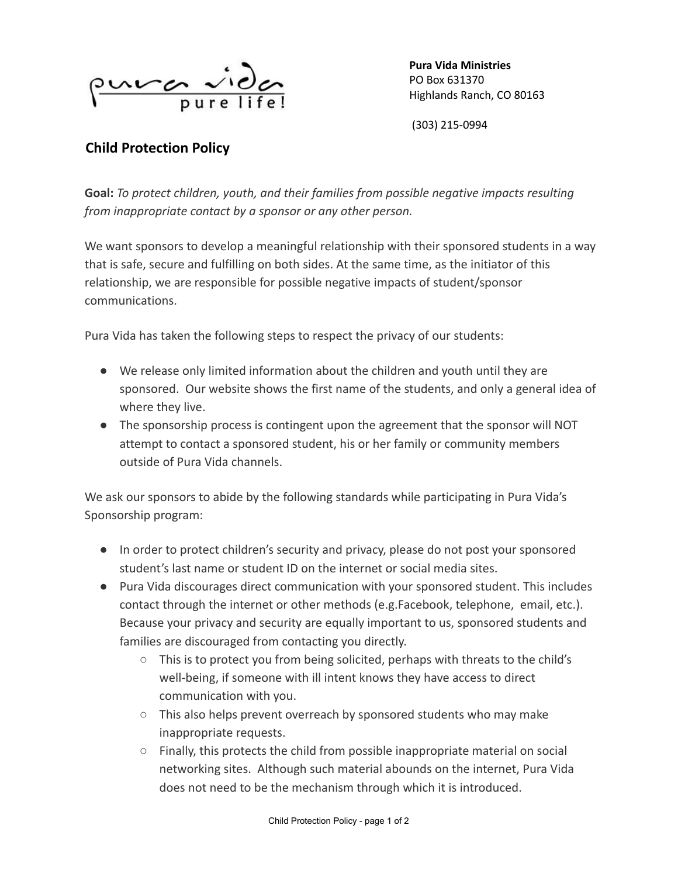

**Pura Vida Ministries** PO Box 631370 Highlands Ranch, CO 80163

(303) 215-0994

## **Child Protection Policy**

**Goal:** *To protect children, youth, and their families from possible negative impacts resulting from inappropriate contact by a sponsor or any other person.*

We want sponsors to develop a meaningful relationship with their sponsored students in a way that is safe, secure and fulfilling on both sides. At the same time, as the initiator of this relationship, we are responsible for possible negative impacts of student/sponsor communications.

Pura Vida has taken the following steps to respect the privacy of our students:

- We release only limited information about the children and youth until they are sponsored. Our website shows the first name of the students, and only a general idea of where they live.
- The sponsorship process is contingent upon the agreement that the sponsor will NOT attempt to contact a sponsored student, his or her family or community members outside of Pura Vida channels.

We ask our sponsors to abide by the following standards while participating in Pura Vida's Sponsorship program:

- In order to protect children's security and privacy, please do not post your sponsored student's last name or student ID on the internet or social media sites.
- Pura Vida discourages direct communication with your sponsored student. This includes contact through the internet or other methods (e.g.Facebook, telephone, email, etc.). Because your privacy and security are equally important to us, sponsored students and families are discouraged from contacting you directly.
	- $\circ$  This is to protect you from being solicited, perhaps with threats to the child's well-being, if someone with ill intent knows they have access to direct communication with you.
	- This also helps prevent overreach by sponsored students who may make inappropriate requests.
	- $\circ$  Finally, this protects the child from possible inappropriate material on social networking sites. Although such material abounds on the internet, Pura Vida does not need to be the mechanism through which it is introduced.